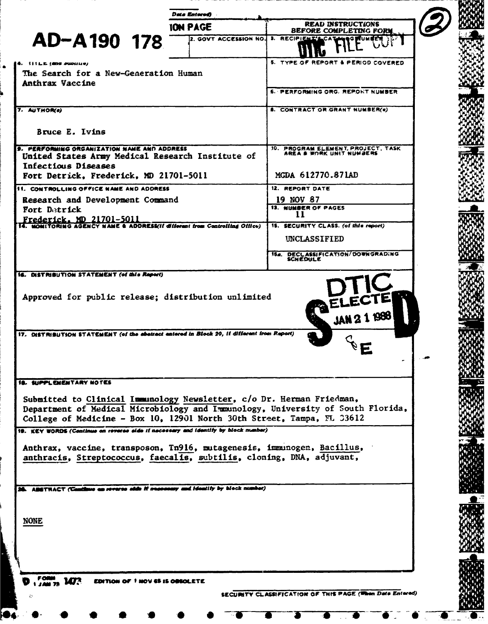| <b>ION PAGE</b>                                                                                                                                                                                                                    | <b>READ INSTRUCTIONS</b><br><b>BEFORE COMPLETING FORM</b> |  |
|------------------------------------------------------------------------------------------------------------------------------------------------------------------------------------------------------------------------------------|-----------------------------------------------------------|--|
| AD-A190 178<br>2. GOVT ACCESSION NO. 3. RECIPIENT'LO                                                                                                                                                                               |                                                           |  |
|                                                                                                                                                                                                                                    |                                                           |  |
| 4. IIILE (MAG PUDING)                                                                                                                                                                                                              | 5. TYPE OF REPORT & PERIOD COVERED                        |  |
| The Search for a New-Generation Human<br><b>Anthrax Vaccine</b>                                                                                                                                                                    |                                                           |  |
|                                                                                                                                                                                                                                    | 6. PERFORMING ORG. REPORT NUMBER                          |  |
| 7. AUTHOR(s)                                                                                                                                                                                                                       | <b>8. CONTRACT OR GRANT NUMBER(e)</b>                     |  |
|                                                                                                                                                                                                                                    |                                                           |  |
| Bruce E. Ivins                                                                                                                                                                                                                     |                                                           |  |
| 9. PERFORMING ORGANIZATION NAME AND ADDRESS                                                                                                                                                                                        | 10. PROGRAM ELEMENT, PROJECT, TASK                        |  |
| United States Army Medical Research Institute of<br>Infectious Diseases                                                                                                                                                            |                                                           |  |
| Fort Detrick, Frederick, MD 21701-5011                                                                                                                                                                                             | MGDA 612770.871AD                                         |  |
| 11. CONTROLLING OFFICE NAME AND ADDRESS                                                                                                                                                                                            | 12. REPORT DATE                                           |  |
| Research and Development Command                                                                                                                                                                                                   | 19 NOV 87                                                 |  |
| Fort Detrick                                                                                                                                                                                                                       | <b>13. NUMBER OF PAGES</b><br>11                          |  |
| Frederick. MD 21701–5011<br>4. MONITORING AGENCY NAME & ADDRESS(II different from Controlling Office)                                                                                                                              | 15. SECURITY CLASS. (of this report)                      |  |
|                                                                                                                                                                                                                                    | <b>UNCLASSIFIED</b>                                       |  |
|                                                                                                                                                                                                                                    | 15a. DECLASSIFICATION/DOWNGRADING<br>SCHEDULE             |  |
| 16. DISTRIBUTION STATEMENT (of this Report)                                                                                                                                                                                        |                                                           |  |
| 17. DISTRIBUTION STATEMENT (of the abstract antered in Block 20, if different from Report)                                                                                                                                         |                                                           |  |
| <b>18. SUPPLEMENTARY NOTES</b>                                                                                                                                                                                                     |                                                           |  |
|                                                                                                                                                                                                                                    |                                                           |  |
| Submitted to Clinical Immunology Newsletter, c/o Dr. Herman Friedman,<br>Department of Medical Microbiology and Immunology, University of South Florida,<br>College of Medicine - Box 10, 12901 North 30th Street, Tampa, FL 33612 |                                                           |  |
| 19. KEY WORDS (Continue on reverse aids if nacessary and identify by block manber)                                                                                                                                                 |                                                           |  |
| Anthrax, vaccine, transposon, Tn916, mutagenesis, immunogen, Bacillus,                                                                                                                                                             |                                                           |  |
| anthracis, Streptococcus, faecalis, subtilis, cloning, DNA, adjuvant,                                                                                                                                                              |                                                           |  |
|                                                                                                                                                                                                                                    |                                                           |  |
| 28. ADSTRACT (Continue on reverse olds if seconomy and identify by block number)                                                                                                                                                   |                                                           |  |
|                                                                                                                                                                                                                                    |                                                           |  |
|                                                                                                                                                                                                                                    |                                                           |  |
| <b>NONE</b>                                                                                                                                                                                                                        |                                                           |  |
|                                                                                                                                                                                                                                    |                                                           |  |
|                                                                                                                                                                                                                                    |                                                           |  |
|                                                                                                                                                                                                                                    |                                                           |  |
| FORM 1473<br>EDITION OF 1 NOV 45 IS OREOLETE                                                                                                                                                                                       |                                                           |  |
|                                                                                                                                                                                                                                    | SECURITY CLASSIFICATION OF THIS PAGE (When Data Entered)  |  |
|                                                                                                                                                                                                                                    |                                                           |  |
| ŵ.                                                                                                                                                                                                                                 |                                                           |  |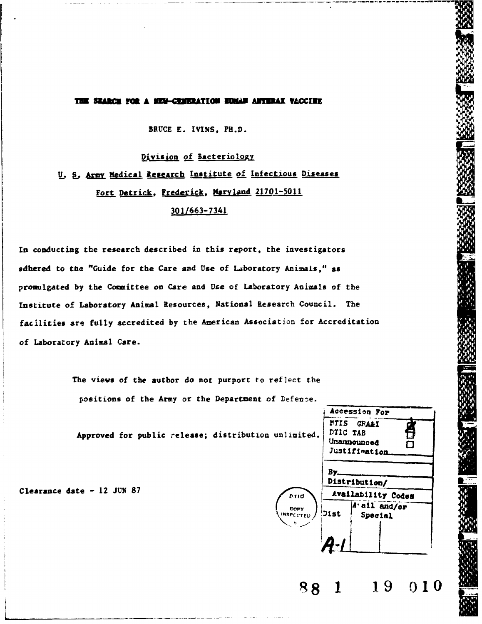## THE SEARCH FOR A HEM-CRHERATION HUMAN ANTERAX VACCIER

BRUCE E. IVINS, PH.D.

Division of Bacteriology U. S. Army Medical Research Institute of Infectious Diseases Fort Detrick, Frederick, Maryland 21701-5011

# 301/663-7341

In conducting the research described in this report, the investigators adhered to the "Guide for the Care and Use of Laboratory Animals," as promulgated by the Committee on Care and Use of Laboratory Animals of the Institute of Laboratory Animal Resources, National Research Council. The facilities are fully accredited by the American Association for Accreditation of Laboratory Animal Care.

> The views of the author do not purport to reflect the positions of the Army or the Department of Defense.

Approved for public release; distribution unlimited.

Clearance date - 12 JUN 87



19

 $010$ 

DTIO

COPY

 $88$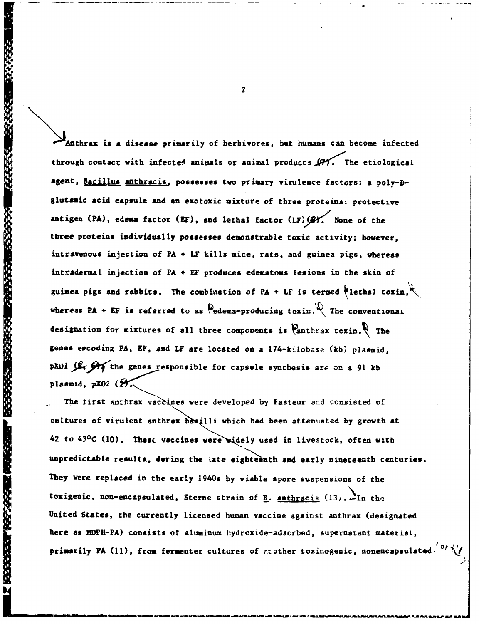**EAnthrax is a disease primarily of herbivores, but humans can become infected** through contact with infected animals or animal products  $\mathscr{A}'$ . The etiological agent, Bacillus anthracis, possesses two primary virulence factors: a poly-Dglutamic acid capsule and an exotoxic mixture of three proteins: protective antigen (PA), edema factor (EF), and lethal factor (LF) (S). None of the three proteins individually possesses demonstrable toxic activity; however, intravenous injection of PA + LF kills mice, rats, and guinea pigs, whereas intradermal injection of PA + EF produces edematous lesions in the skin of guinea pigs and rabbits. The combination of PA + LF is termed lethal toxin,  $\mathbb{Q}$ whereas PA + EF is referred to as  $\mathbb{Q}$  edema-producing toxin.  $\mathbb{Q}$  The conventional designation for mixtures of all three components is **Canthrax toxin.** The genes evcoding PA, EF, and LF are located on a 174-kilobase (kb) plasmid, p201  $\int \mathcal{L}_1$   $\int \mathcal{L}_1$  the genes responsible for capsule synthesis are on a 91 kb plasmid, pX02 (2).

The tirst anthrax vaccines were developed by lasteur and consisted of cultures of virulent anthrax basilli which had been attenuated by growth at 42 to 43°C (10). These vaccines were widely used in livestock, often with unpredictable resulta, during the late eighteenth and early nineteenth centuries. They vere replaced in the early 1940s by viable spore suspensions of the toxigenic, non-encapsulated, Sterne strain of  $\underline{\mathbf{B}}$ . anthracis (13).  $\mathbf{\mathbf{\Sigma}}$ In the United States, the currently licensed human vaccine against anthrax (designated here as MDPH-PA) consists of aluminum hydroxide-adsorbed, supernatant material, primarily PA (11), from fermenter cultures of *a*zother toxinogenic, nonencapsulated-

2

FREEZ PROGRAM HUNGARY ESSENYA KARAKA TARANG MENAGAN

 $\overline{\mathbf{M}}$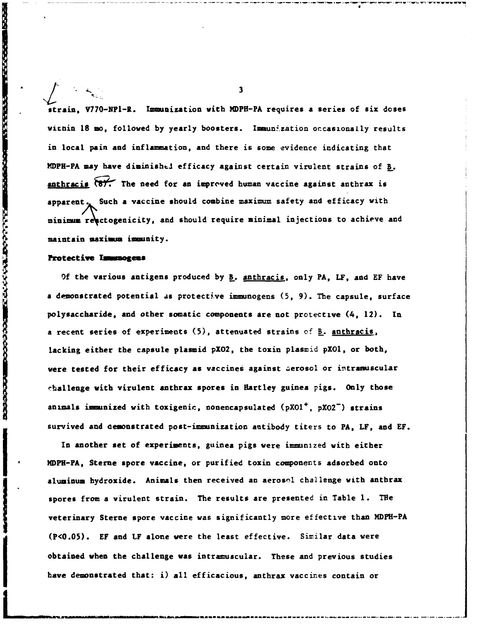**I**<br>电压力<br>I3 strain, **V770-NPI-R.** Immunization with MDPH-PA requires a series of six doses virnin 18 mo, followed by yearly boosters. Immunization occasionally results in local pain and inflammation, and there is some evidence indicating that MDPH-PA may have diminished efficacy against certain virulent strains of B. anthracis (8). The need for an improved human vaccine against anthrax is apparent. Such a vaccine should combine maximum safety and efficacy with minimum reactogenicity, and should require minimal injections to achieve and maintain maximum immunity.

#### **Protective Immunogens**

「そのからのことに、このことに、このことに、このことに、このことに、このことになることになっている。そのことに、このことに、このことに、このことに、このことに、このことに、このことに、このことに、この

**Of** the various antigens produced by B. anthracis, only PA, LF, and EF have a demonstrated potential as protective immunogens (5, 9). The capsule, surface polysaccharide, and other somatic components are not protective (4, 12). In a recent series of experiments (5), attenuated strains of B. anthracis, lacking either the capsule plasmid pXO2, the toxin plasmid pXO1, or both, were tested for their efficacy as vaccines against aerosol or intramuscular rhallenge with virulent anthrax spores in Hartley guinea pigs. Only those animals immunized with toxigenic, nonencapsulated (pXOl+, **pX02-)** strains survived and demonstrated post-immunization antibody titers to PA, LF, and EF.

In another set of experiments, guinea pigs were immunized with either<br>IDPH-PA, Sterne spore vaccine, or purified toxin components adsorbed onto aluminum hydroxide. Animals then received an aerosol challenge with anthrax spores from a virulent strain. The results are presented in Table **1.** THe veterinary Sterne spore vaccine was significantly more effective than MDFH-PA (P<O.05). EF and LF alone were the least effective. Sivilar data were obtained when the challenge was intramuscular. These and previous studies have demonstrated that: i) all efficacious, anthrax vaccines contain or

 $\overline{\mathbf{3}}$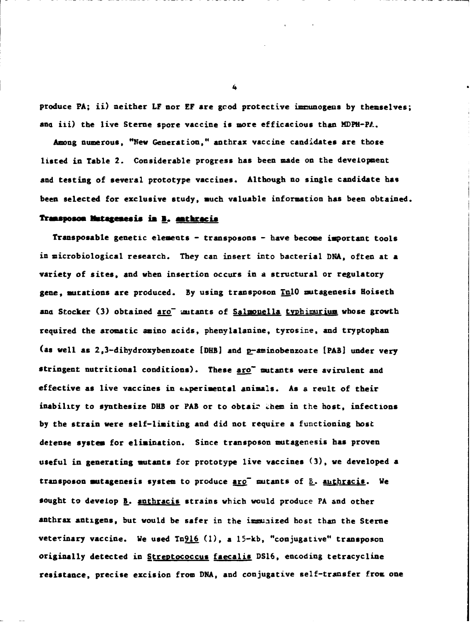produce PA; ii) neither LF nor **EF** are gcod protective immunogens by themselves; and iii) the live Sterne spore vaccine is more efficacious than MDPH-PL.

Among numerous, "Nev Generation," anthrax vaccine candidates are those listed in Table 2. Considerable progress has been made on the development and testing of several prototype vaccines. Although no single candidate has been selected for exclusive study, much valuable information has been obtained.

## **Trmsaposcm** ktageimsis **ia B.** anthracis

Transposable genetic elements - transposons - have become important tools in microbiological research. They can insert into bacterial DNA, often at a variety of sites, and when insertion occurs in a structural or regulatory gene, mutations are produced. By using transposon TnlO mutagenesis Hoiseth and Stocker (3) obtained aro<sup>-</sup> mutants of Salmouella typhimurium whose growth required the aromatic amino acids, phenylalanine, tyrosine, and tryptophan (as well as  $2, 3$ -dihydroxybenzoate [DHB] and  $p$ -aminobenzoate [PAB] under very stringent nutritional conditions). These aro<sup>-</sup> mutants were avirulent and effective as live vaccines in experimental animals. As a reult of their inability to synthesize DHB or PAB or to obtaiz them in the host, infections by the strain were self-limiting and did not require a functioning hose detense system for elimination. Since transposon mutagenesis has proven useful in generating mutants for prototype live vaccines (3), we developed a transposon mutagenesis system to produce  $\texttt{arc}^-$  mutants of  $\underline{B}$ . authracis. We sought to develop **B**. anthracis strains which would produce PA and other anthrax antigens, but would be safer in the immunized host than the Sterne veterinary vaccine. We used Tn916 **(1),** a 15-kb, "conjugative" transposon originally detected in Streptococcus faecalis **DS16,** encoding tetracycline resistance, precise excision from DNA, and conjugative self-transfer from one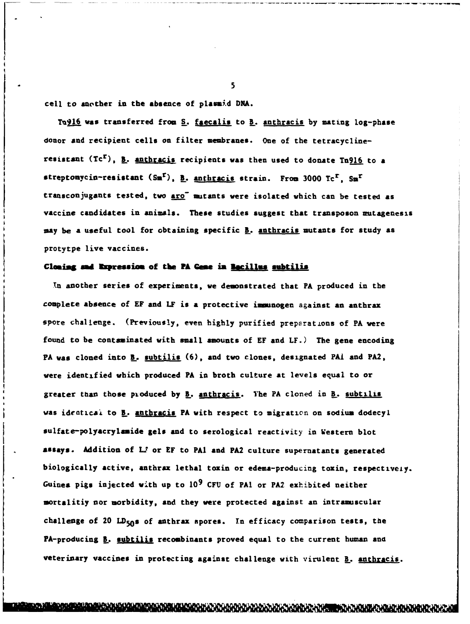cell to another in the absence of plassi.d **DMA.**

Tu916 was transferred from S. faecalis to B. anthracis by mating log-phase donor and recipient cells on filter membranes. One of the tetracyclineresistant (Tcr), **!..** anthracis recipients was then used to donate Tn9l6 to **a** streptonycin-resistant (Sm<sup>r</sup>), <u>B. anthracis</u> strain. From 3000 Tc<sup>r</sup>, Sm<sup>r</sup> transconjugants tested, two aro mutants were isolated which can be tested as vaccine candidates in animals. These studies suggest that transposon mutagenesis **say** be **a** useful tool for obtaining specific B. anthracis mutants for study **as** protytpe live vaccines.

### **Cloaing sad Expression of the PA Gene in <u>Bacillus subtilis</u>**

In another series of experiments, we demonstrated that PA produced in the complete absence of EF and LF is **a** protective iwmnogen against **an** anthrax spore challenge. (Previously, even highly purified preparations of PA were found to be contaminated with **small** amounts of **EF** and LF.) The gene encoding PA was cloned into B. subtilis **(6),** and two clones, designated PAI and PA2, were identified which produced PA in broth culture at levels equal to or \* greater than those pioduced **by I.. authracis. Yhe** PA cloned in B. subtilis was identical to B. anthracis PA with respect to migration on sodium dodecyl sulfate-polyacrylamide gels and to serological reactivity in Western blot **assays. Addition of** LI- or **EF** to PAl **and PA2 culture** supernatants generated biologically active, anthrax lethal toxin or edema-producing toxin, respectively. Guinea pigs injected with up to 10<sup>9</sup> CFU of PA1 or PA2 exhibited neither mortalitiy nor morbidity, **and** they were protected against an intramiscular **challenge of 20 LD50s of** anthrax spores. In efficacy comparison tests, the PA-producing **B.** subtilis recombinants proved equal to the current human and veterinary vaccines in protecting against challenge with virulent B. anthracis.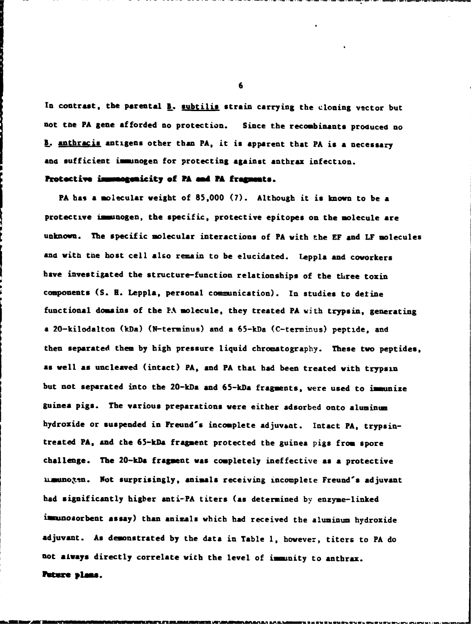In contrast, the parental **B**. subtilis strain carrying the cloning vector but not toe PA gene afforded no protection. Since the recombinants produced no **I.** anthracis antigens other than PA, it is apparent that PA is a necessary and sufficient immunogen for protecting against anthrax infection.

### **Protective immedgenicity of PA and PA fragments.**

PA has a molecular weight of 85,000 (7). Although it is known to be a protective immunogen, the specific, protective epitopes on the molecule are unknown. The specific molecular interactions of PA with the EF and LF molecules and with the host cell also remain to be elucidated. Leppla and coworkers have investigated the structure-function relationships of the three toxin components (S. R. Leppla. personal communication). In studies to detine functional domains of the PA molecule, they treated PA with trypsin, generating a 20-kilodalton (kDa) (N-terminus) and a 65-kDa (C-terminus) peptide, and then separated them by high pressure liquid chromatography. These two peptides, as well as uncleaved (intact) PA, and PA that had been treated with trypsin but not separated into the 20-kDa and 65-kDa fragments, were used to immunize guinea pigs. The various preparations were either adsorbed onto aluminum hydroxide or suspended in Freund's incomplete adjuvant. Intact PA, trypsintreated PA, and the 65-kDa fragment protected the guinea pigs from spore challenge. The 20-kDa fragment was completely ineffective as a protective umunogen. Not surprisingly, animals receiving incomplete Freund's adjuvant had significantly higher anti-PA titers (as determined by enzyme-linked immnosorbent assay) than animals which had received the aluninun hydroxide adjuvant. As demonstrated by the data in Table **1,** however, titers to PA do not always directly correlate with the level of immunity to anthrax. Puture plans.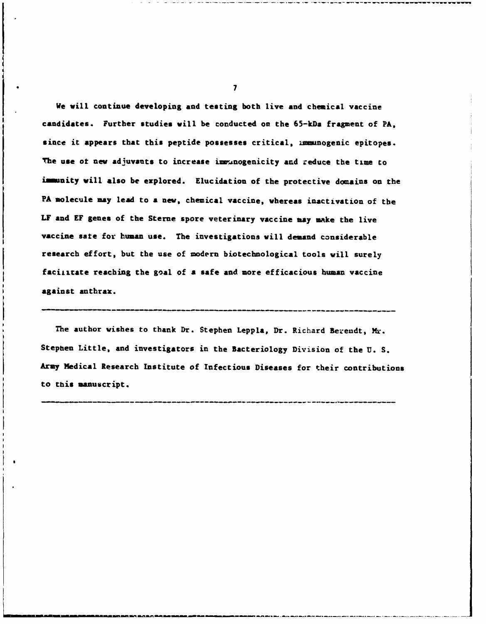We will continue developing and testing both live and chemical vaccine candidates. Further studies will be conducted on the 65-kDa fragment of PA, since it appears that this peptide possesses critical, immunogenic epitopes. The use of new adjuvants to increase immunogenicity and reduce the time to immunity will also be explored. Elucidation of the protective domains on the PA molecule may lead to a new, chemical vaccine, whereas inactivation of the LF and EF genes of the Sterne spore veterinary vaccine may make the live vaccine sate for human use. The investigations will demand considerable research effort, but the use of modern biotechnological tools will surely faciiitate reaching the goal of a safe and more efficacious human vaccine against anthrax.

The author vishes to thank Dr. Stephen Leppla, Dr. Richard Bereudt, Mr. Stephen Little, and investigators in the Bacteriology Division of the U. S. Army Medical Research Institute of Infectious Diseases for their contributions  $t_{\rm max}$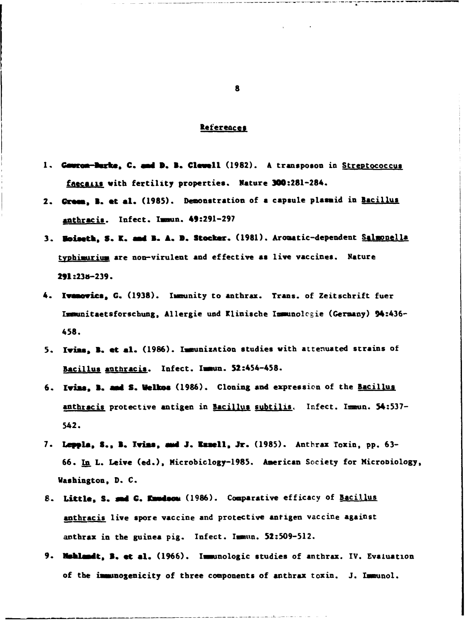### References

- 1. Cource-Burke, C. and D. B. Clevell (1982). A transposon in Streptococcus **f£ecaLks** with fertility properties. Nature 300:281-284.
- 2. **Grosi, Z. et** at. **(1985).** Demonstration of a capsule plasaid in Bacillus anthracis. Infect. lmun. **49:291-297**
- **3.** Boiseth, **S.** K. **1d Z. A. D. Stocker.** (1981). Aromatic-dependent Salnonella typhimurium are non-virulent and effective **as** live vaccines. Nature 291:23a-239.
- 4. lvaovics, G. (1938). Immunity to anthrax. Trans. of Zeitschrift fuer Immunitaetsforschung, Allergie und Klinische Immunolcgie (Germany) 94:436- 458.
- 5. Ivims, **B.** et **a&.** (1986). Immunization studies with attenuated strains of Bacillus anthracis. Infect. Immun. 52:454-458.
- 6. Ivins, **Z. rad S. Velkms** (1986). Cloning **and** expression of the Bacillus anthracis protective antigen in Bacillus subtilis. Infect. Immun. 54:537- 542.
- 7. Leppla, S., B. Ivins, and J. Exzell, Jr. (1985). Anthrax Toxin, pp. 63-66. In L. Leive (ed.), Microbiology-1985. American Society for Microbiology, Washington, D. C.
- 8. Little, S. and G. Knudson (1986). Comparative efficacy of Bacillus anthracis live spore vaccine and protective antigen vaccine against anthrax in the guinea pig. Infect. Immun. 52:509-512.
- 9. Muhlandt, B. et al. (1966). Immunologic studies of anthrax. IV. Evaluation of the immunogenicity of three components of anthrax toxin. J. Immunol.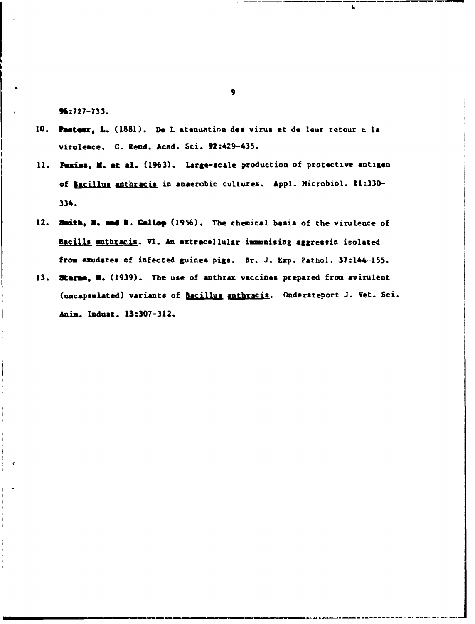96:727-733.

- 10. Pasteur, L. (1881). De L atenuation des virus et de leur retour c la virulence. C. Rend. Aced. Sci. 92:429-435.
- 11. Puziss, M. et al. (1963). Large-scale production of protective antigen of Bacillus anthracis in anaerobic cultures. Appl. Microbiol. 11:330-334.
- 12. stitb, **a. gd 3.** Gallop (1956). The chemical basis of the virulence of Bacills anthracis. VI. An extracellular immunising aggressin isolated from exudates of infected guinea pigs. Br. J. Exp. Pathol. 37:144-155.
- 13. Sterne, M. (1939). The use of anthrax vaccines prepared from avirulent (uncapsulated) variants of Bacillus anthracis. Ondersteport J. Vet. Sci. Anin. Indust. 13:307-312.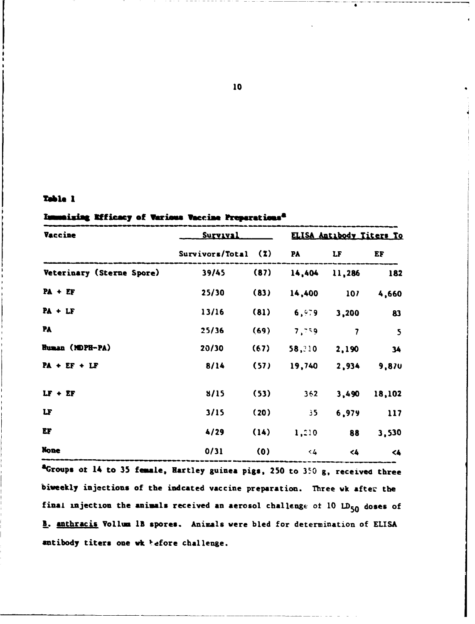## Table 1

# Immaising Rifficacy of Various Vaccine Preparations<sup>2</sup>

| <b>Vaccine</b>            | Survaval            |      | ELISA Antibody Titers To |                         |                         |
|---------------------------|---------------------|------|--------------------------|-------------------------|-------------------------|
|                           | Survivors/Total (%) |      | <b>PA</b>                | LF                      | EF                      |
| Veterinary (Sterne Spore) | 39/45               | (87) | 14,404                   | 11,286                  | 182                     |
| $PA + EF$                 | 25/30               | (83) | 14,400                   | 107                     | 4,660                   |
| $PA + LF$                 | 13/16               | (81) | 6,979                    | 3,200                   | 83                      |
| PA                        | 25/36               | (69) | 7,759                    | $\overline{\mathbf{z}}$ | $\overline{\mathbf{5}}$ |
| Human (MDPH-PA)           | 20/30               | (67) | 58, 10                   | 2,190                   | 34                      |
| $PA + EF + LF$            | 8/14                | (57) | 19,740                   | 2,934                   | 9,870                   |
| $LF + EF$                 | 8/15                | (53) | $362 -$                  | 3,490                   | 18,102                  |
| LF                        | 3/15                | (20) | $35 -$                   | 6,979                   | 117                     |
| EF                        | 4/29                | (14) | 1,210                    | 88                      | 3,530                   |
| <b>None</b>               | 0/31                | (0)  | < 4                      | $\leq 4$                | $\leq$                  |

<sup>a</sup>Groups of 14 to 35 female, Hartley guinea pigs, 250 to 350 g, received three biweekly injections of the indcated vaccine preparation. Three wk after the final injection the animals received an aerosol challenge of  $10$  LD<sub>50</sub> doses of B. anthracis Vollum 1B spores. Animals were bled for determination of ELISA antibody titers one wk hefore challenge.